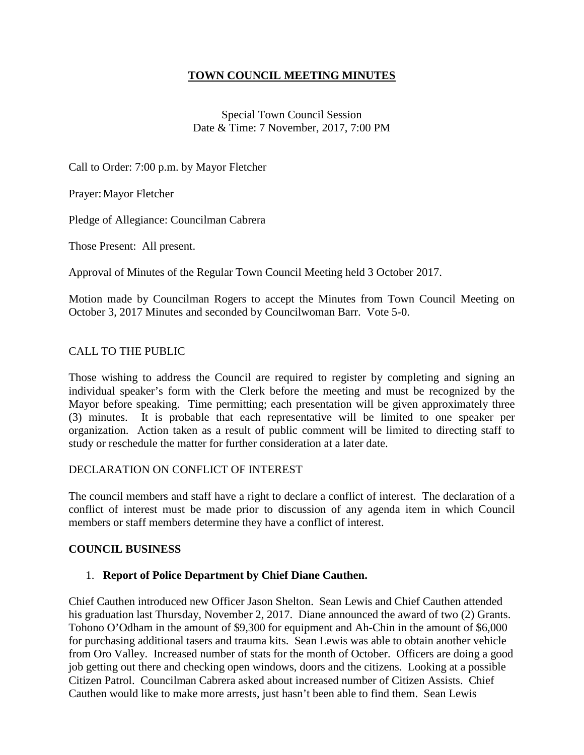# **TOWN COUNCIL MEETING MINUTES**

Special Town Council Session Date & Time: 7 November, 2017, 7:00 PM

Call to Order: 7:00 p.m. by Mayor Fletcher

Prayer: Mayor Fletcher

Pledge of Allegiance: Councilman Cabrera

Those Present: All present.

Approval of Minutes of the Regular Town Council Meeting held 3 October 2017.

Motion made by Councilman Rogers to accept the Minutes from Town Council Meeting on October 3, 2017 Minutes and seconded by Councilwoman Barr. Vote 5-0.

# CALL TO THE PUBLIC

Those wishing to address the Council are required to register by completing and signing an individual speaker's form with the Clerk before the meeting and must be recognized by the Mayor before speaking. Time permitting; each presentation will be given approximately three (3) minutes. It is probable that each representative will be limited to one speaker per organization. Action taken as a result of public comment will be limited to directing staff to study or reschedule the matter for further consideration at a later date.

### DECLARATION ON CONFLICT OF INTEREST

The council members and staff have a right to declare a conflict of interest. The declaration of a conflict of interest must be made prior to discussion of any agenda item in which Council members or staff members determine they have a conflict of interest.

### **COUNCIL BUSINESS**

### 1. **Report of Police Department by Chief Diane Cauthen.**

Chief Cauthen introduced new Officer Jason Shelton. Sean Lewis and Chief Cauthen attended his graduation last Thursday, November 2, 2017. Diane announced the award of two (2) Grants. Tohono O'Odham in the amount of \$9,300 for equipment and Ah-Chin in the amount of \$6,000 for purchasing additional tasers and trauma kits. Sean Lewis was able to obtain another vehicle from Oro Valley. Increased number of stats for the month of October. Officers are doing a good job getting out there and checking open windows, doors and the citizens. Looking at a possible Citizen Patrol. Councilman Cabrera asked about increased number of Citizen Assists. Chief Cauthen would like to make more arrests, just hasn't been able to find them. Sean Lewis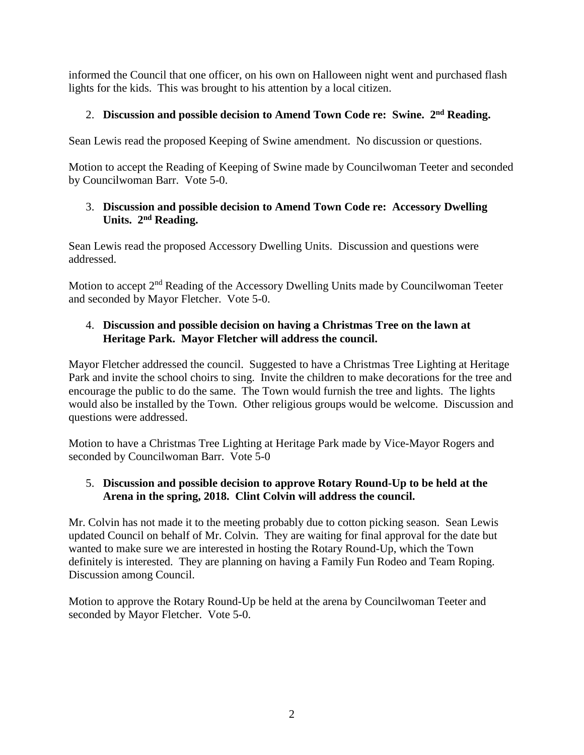informed the Council that one officer, on his own on Halloween night went and purchased flash lights for the kids. This was brought to his attention by a local citizen.

# 2. **Discussion and possible decision to Amend Town Code re: Swine. 2nd Reading.**

Sean Lewis read the proposed Keeping of Swine amendment. No discussion or questions.

Motion to accept the Reading of Keeping of Swine made by Councilwoman Teeter and seconded by Councilwoman Barr. Vote 5-0.

# 3. **Discussion and possible decision to Amend Town Code re: Accessory Dwelling Units. 2nd Reading.**

Sean Lewis read the proposed Accessory Dwelling Units. Discussion and questions were addressed.

Motion to accept  $2<sup>nd</sup>$  Reading of the Accessory Dwelling Units made by Councilwoman Teeter and seconded by Mayor Fletcher. Vote 5-0.

# 4. **Discussion and possible decision on having a Christmas Tree on the lawn at Heritage Park. Mayor Fletcher will address the council.**

Mayor Fletcher addressed the council. Suggested to have a Christmas Tree Lighting at Heritage Park and invite the school choirs to sing. Invite the children to make decorations for the tree and encourage the public to do the same. The Town would furnish the tree and lights. The lights would also be installed by the Town. Other religious groups would be welcome. Discussion and questions were addressed.

Motion to have a Christmas Tree Lighting at Heritage Park made by Vice-Mayor Rogers and seconded by Councilwoman Barr. Vote 5-0

# 5. **Discussion and possible decision to approve Rotary Round-Up to be held at the Arena in the spring, 2018. Clint Colvin will address the council.**

Mr. Colvin has not made it to the meeting probably due to cotton picking season. Sean Lewis updated Council on behalf of Mr. Colvin. They are waiting for final approval for the date but wanted to make sure we are interested in hosting the Rotary Round-Up, which the Town definitely is interested. They are planning on having a Family Fun Rodeo and Team Roping. Discussion among Council.

Motion to approve the Rotary Round-Up be held at the arena by Councilwoman Teeter and seconded by Mayor Fletcher. Vote 5-0.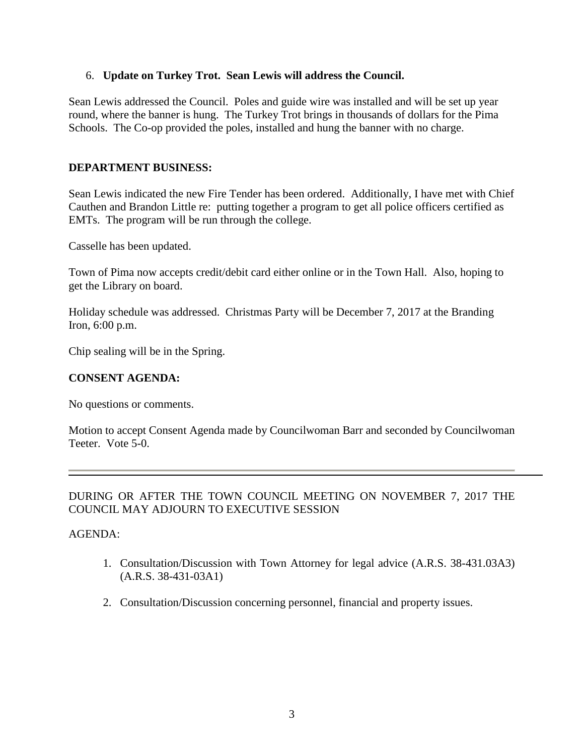## 6. **Update on Turkey Trot. Sean Lewis will address the Council.**

Sean Lewis addressed the Council. Poles and guide wire was installed and will be set up year round, where the banner is hung. The Turkey Trot brings in thousands of dollars for the Pima Schools. The Co-op provided the poles, installed and hung the banner with no charge.

## **DEPARTMENT BUSINESS:**

Sean Lewis indicated the new Fire Tender has been ordered. Additionally, I have met with Chief Cauthen and Brandon Little re: putting together a program to get all police officers certified as EMTs. The program will be run through the college.

Casselle has been updated.

Town of Pima now accepts credit/debit card either online or in the Town Hall. Also, hoping to get the Library on board.

Holiday schedule was addressed. Christmas Party will be December 7, 2017 at the Branding Iron, 6:00 p.m.

Chip sealing will be in the Spring.

### **CONSENT AGENDA:**

No questions or comments.

Motion to accept Consent Agenda made by Councilwoman Barr and seconded by Councilwoman Teeter. Vote 5-0.

# DURING OR AFTER THE TOWN COUNCIL MEETING ON NOVEMBER 7, 2017 THE COUNCIL MAY ADJOURN TO EXECUTIVE SESSION

### AGENDA:

- 1. Consultation/Discussion with Town Attorney for legal advice (A.R.S. 38-431.03A3) (A.R.S. 38-431-03A1)
- 2. Consultation/Discussion concerning personnel, financial and property issues.